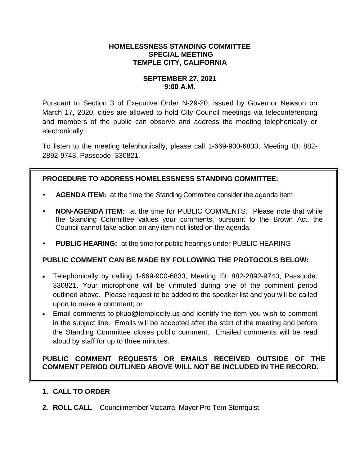#### **HOMELESSNESS STANDING COMMITTEE SPECIAL MEETING TEMPLE CITY, CALIFORNIA**

### **SEPTEMBER 27, 2021 9:00 A.M.**

Pursuant to Section 3 of Executive Order N-29-20, issued by Governor Newson on March 17, 2020, cities are allowed to hold City Council meetings via teleconferencing and members of the public can observe and address the meeting telephonically or electronically.

To listen to the meeting telephonically, please call 1-669-900-6833, Meeting ID: 882- 2892-9743, Passcode: 330821.

# **PROCEDURE TO ADDRESS HOMELESSNESS STANDING COMMITTEE:**

- **AGENDA ITEM:** at the time the Standing Committee consider the agenda item;
- **NON-AGENDA ITEM:** at the time for PUBLIC COMMENTS. Please note that while the Standing Committee values your comments, pursuant to the Brown Act, the Council cannot take action on any item not listed on the agenda;
- **PUBLIC HEARING:** at the time for public hearings under PUBLIC HEARING

## **PUBLIC COMMENT CAN BE MADE BY FOLLOWING THE PROTOCOLS BELOW:**

- Telephonically by calling 1-669-900-6833, Meeting ID: 882-2892-9743, Passcode: 330821. Your microphone will be unmuted during one of the comment period outlined above. Please request to be added to the speaker list and you will be called upon to make a comment; or
- Email comments to pkuo@templecity.us and identify the item you wish to comment in the subject line. Emails will be accepted after the start of the meeting and before the Standing Committee closes public comment. Emailed comments will be read aloud by staff for up to three minutes.

## **PUBLIC COMMENT REQUESTS OR EMAILS RECEIVED OUTSIDE OF THE COMMENT PERIOD OUTLINED ABOVE WILL NOT BE INCLUDED IN THE RECORD.**

## **1. CALL TO ORDER**

**2. ROLL CALL** – Councilmember Vizcarra, Mayor Pro Tem Sternquist